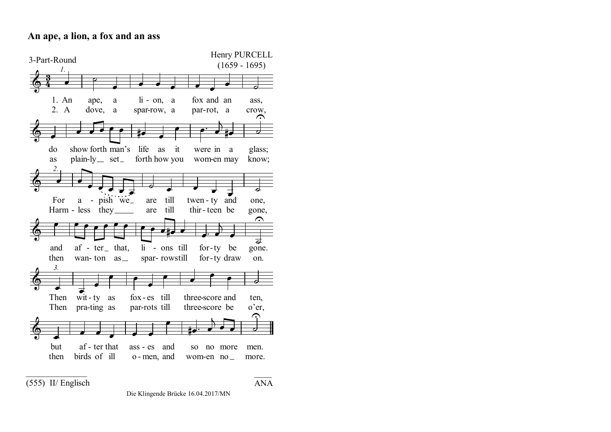## **An ape, a lion, a fox and an ass**



(555) II/ Englisch

Die Klingende Brücke 16.04.2017/MN